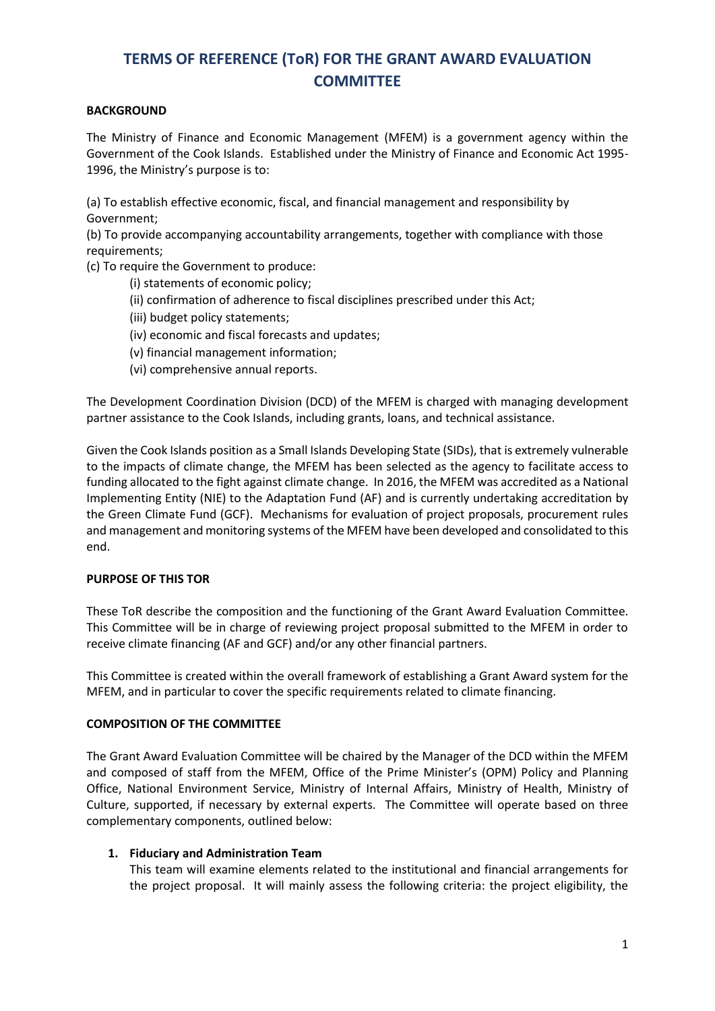## **TERMS OF REFERENCE (ToR) FOR THE GRANT AWARD EVALUATION COMMITTEE**

### **BACKGROUND**

The Ministry of Finance and Economic Management (MFEM) is a government agency within the Government of the Cook Islands. Established under the Ministry of Finance and Economic Act 1995- 1996, the Ministry's purpose is to:

(a) To establish effective economic, fiscal, and financial management and responsibility by Government;

(b) To provide accompanying accountability arrangements, together with compliance with those requirements;

(c) To require the Government to produce:

- (i) statements of economic policy;
- (ii) confirmation of adherence to fiscal disciplines prescribed under this Act;
- (iii) budget policy statements;
- (iv) economic and fiscal forecasts and updates;
- (v) financial management information;
- (vi) comprehensive annual reports.

The Development Coordination Division (DCD) of the MFEM is charged with managing development partner assistance to the Cook Islands, including grants, loans, and technical assistance.

Given the Cook Islands position as a Small Islands Developing State (SIDs), that is extremely vulnerable to the impacts of climate change, the MFEM has been selected as the agency to facilitate access to funding allocated to the fight against climate change. In 2016, the MFEM was accredited as a National Implementing Entity (NIE) to the Adaptation Fund (AF) and is currently undertaking accreditation by the Green Climate Fund (GCF). Mechanisms for evaluation of project proposals, procurement rules and management and monitoring systems of the MFEM have been developed and consolidated to this end.

#### **PURPOSE OF THIS TOR**

These ToR describe the composition and the functioning of the Grant Award Evaluation Committee. This Committee will be in charge of reviewing project proposal submitted to the MFEM in order to receive climate financing (AF and GCF) and/or any other financial partners.

This Committee is created within the overall framework of establishing a Grant Award system for the MFEM, and in particular to cover the specific requirements related to climate financing.

#### **COMPOSITION OF THE COMMITTEE**

The Grant Award Evaluation Committee will be chaired by the Manager of the DCD within the MFEM and composed of staff from the MFEM, Office of the Prime Minister's (OPM) Policy and Planning Office, National Environment Service, Ministry of Internal Affairs, Ministry of Health, Ministry of Culture, supported, if necessary by external experts. The Committee will operate based on three complementary components, outlined below:

#### **1. Fiduciary and Administration Team**

This team will examine elements related to the institutional and financial arrangements for the project proposal. It will mainly assess the following criteria: the project eligibility, the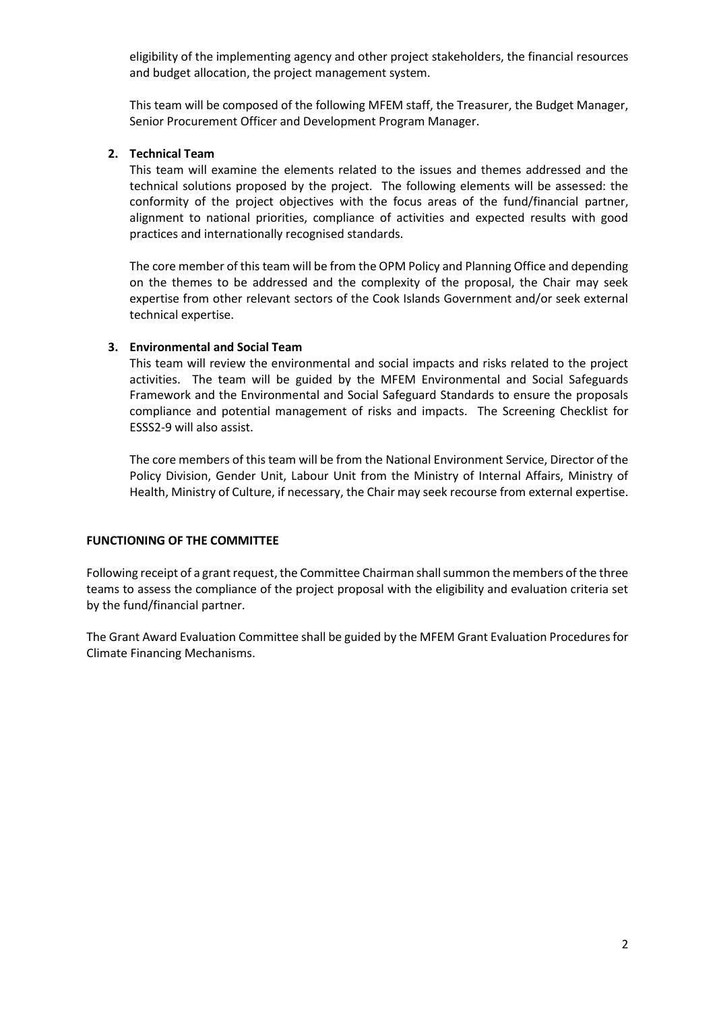eligibility of the implementing agency and other project stakeholders, the financial resources and budget allocation, the project management system.

This team will be composed of the following MFEM staff, the Treasurer, the Budget Manager, Senior Procurement Officer and Development Program Manager.

#### **2. Technical Team**

This team will examine the elements related to the issues and themes addressed and the technical solutions proposed by the project. The following elements will be assessed: the conformity of the project objectives with the focus areas of the fund/financial partner, alignment to national priorities, compliance of activities and expected results with good practices and internationally recognised standards.

The core member of this team will be from the OPM Policy and Planning Office and depending on the themes to be addressed and the complexity of the proposal, the Chair may seek expertise from other relevant sectors of the Cook Islands Government and/or seek external technical expertise.

#### **3. Environmental and Social Team**

This team will review the environmental and social impacts and risks related to the project activities. The team will be guided by the MFEM Environmental and Social Safeguards Framework and the Environmental and Social Safeguard Standards to ensure the proposals compliance and potential management of risks and impacts. The Screening Checklist for ESSS2-9 will also assist.

The core members of this team will be from the National Environment Service, Director of the Policy Division, Gender Unit, Labour Unit from the Ministry of Internal Affairs, Ministry of Health, Ministry of Culture, if necessary, the Chair may seek recourse from external expertise.

#### **FUNCTIONING OF THE COMMITTEE**

Following receipt of a grant request, the Committee Chairman shall summon the members of the three teams to assess the compliance of the project proposal with the eligibility and evaluation criteria set by the fund/financial partner.

The Grant Award Evaluation Committee shall be guided by the MFEM Grant Evaluation Procedures for Climate Financing Mechanisms.